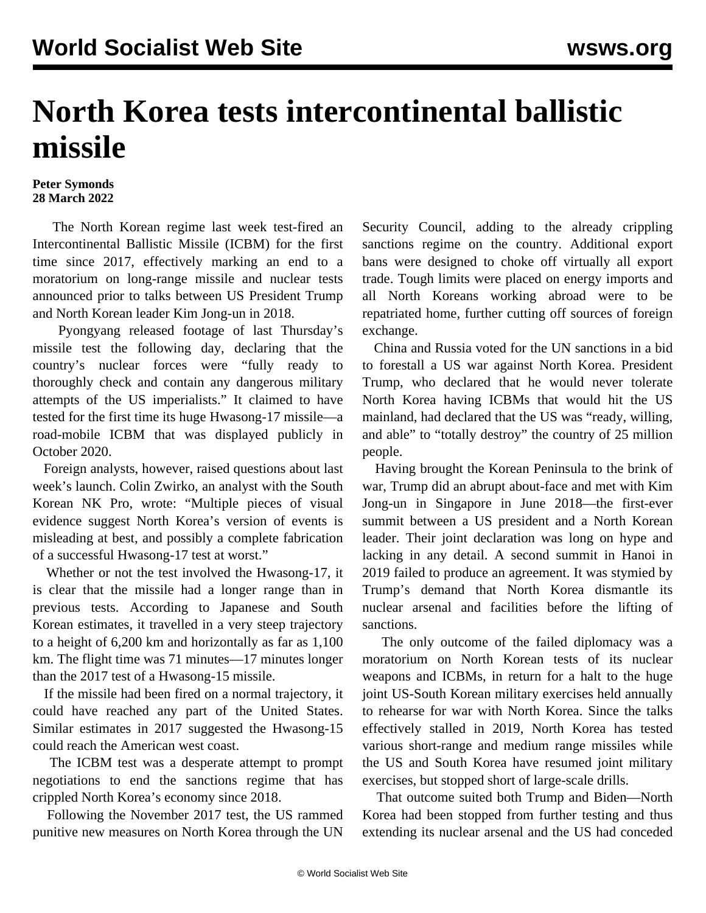## **North Korea tests intercontinental ballistic missile**

## **Peter Symonds 28 March 2022**

 The North Korean regime last week test-fired an Intercontinental Ballistic Missile (ICBM) for the first time since 2017, effectively marking an end to a moratorium on long-range missile and nuclear tests announced prior to talks between US President Trump and North Korean leader Kim Jong-un in 2018.

 Pyongyang released footage of last Thursday's missile test the following day, declaring that the country's nuclear forces were "fully ready to thoroughly check and contain any dangerous military attempts of the US imperialists." It claimed to have tested for the first time its huge Hwasong-17 missile—a road-mobile ICBM that was displayed publicly in October 2020.

 Foreign analysts, however, raised questions about last week's launch. Colin Zwirko, an analyst with the South Korean NK Pro, wrote: "Multiple pieces of visual evidence suggest North Korea's version of events is misleading at best, and possibly a complete fabrication of a successful Hwasong-17 test at worst."

 Whether or not the test involved the Hwasong-17, it is clear that the missile had a longer range than in previous tests. According to Japanese and South Korean estimates, it travelled in a very steep trajectory to a height of 6,200 km and horizontally as far as 1,100 km. The flight time was 71 minutes—17 minutes longer than the 2017 test of a Hwasong-15 missile.

 If the missile had been fired on a normal trajectory, it could have reached any part of the United States. Similar estimates in 2017 suggested the Hwasong-15 could reach the American west coast.

 The ICBM test was a desperate attempt to prompt negotiations to end the sanctions regime that has crippled North Korea's economy since 2018.

 Following the November 2017 test, the US rammed punitive new measures on North Korea through the UN

Security Council, adding to the already crippling sanctions regime on the country. Additional export bans were designed to choke off virtually all export trade. Tough limits were placed on energy imports and all North Koreans working abroad were to be repatriated home, further cutting off sources of foreign exchange.

 China and Russia voted for the UN sanctions in a bid to forestall a US war against North Korea. President Trump, who declared that he would never tolerate North Korea having ICBMs that would hit the US mainland, had declared that the US was "ready, willing, and able" to "totally destroy" the country of 25 million people.

 Having brought the Korean Peninsula to the brink of war, Trump did an abrupt about-face and met with Kim Jong-un in Singapore in June 2018—the first-ever summit between a US president and a North Korean leader. Their joint declaration was long on hype and lacking in any detail. A second summit in Hanoi in 2019 failed to produce an agreement. It was stymied by Trump's demand that North Korea dismantle its nuclear arsenal and facilities before the lifting of sanctions.

 The only outcome of the failed diplomacy was a moratorium on North Korean tests of its nuclear weapons and ICBMs, in return for a halt to the huge joint US-South Korean military exercises held annually to rehearse for war with North Korea. Since the talks effectively stalled in 2019, North Korea has tested various short-range and medium range missiles while the US and South Korea have resumed joint military exercises, but stopped short of large-scale drills.

 That outcome suited both Trump and Biden—North Korea had been stopped from further testing and thus extending its nuclear arsenal and the US had conceded